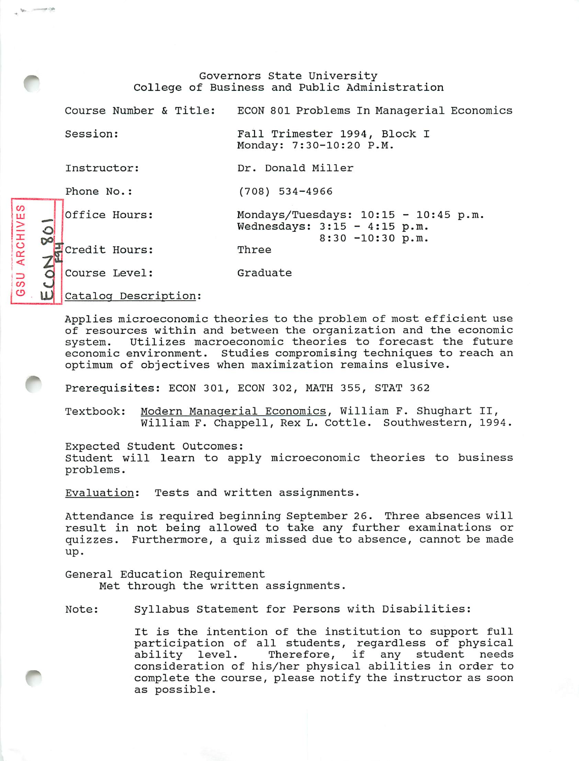Governors State University College of Business and Public Administration

Course Number & Title: ECON 801 Problems In Managerial Economics

Dr. Donald Miller

Mondays/Tuesdays: 10:15 - 10:45 p.m

8:30 -10:30 p.m.

Wednesdays: 3:15 - 4:15 p.m.

(708) 534-4966

Session: Fall Trimester 1994, Block I Monday: 7:30-10:20 P.M.

Three

Instructor:

Phone No.:

CO *m*

*\<*

 $\bm{\sigma}$ 

> <sup>X</sup> *<sup>o</sup>*

Office Hours:

Credit Hours:

Course Level: Graduate

**Catalog Description:** 

Applies microeconomic theories to the problem of most efficient use of resources within and between the organization and the economic system. Utilizes macroeconomic theories to forecast the future economic environment. Studies compromising techniques to reach an optimum of objectives when maximization remains elusive.

Prerequisites: ECON 301, ECON 302, MATH 355, STAT 362

Textbook: Modern Managerial Economics, William F. Shughart II, William F. Chappell, Rex L. Cottle. Southwestern, 1994.

Expected Student Outcomes: Student will learn to apply microeconomic theories to business problems.

Evaluation: Tests and written assignments.

Attendance is required beginning September 26. Three absences will result in not being allowed to take any further examinations or quizzes. Furthermore, a quiz missed due to absence, cannot be made up.

General Education Requirement Met through the written assignments.

Note: Syllabus Statement for Persons with Disabilities:

It is the intention of the institution to support full participation of all students, regardless of physical ability level. Therefore, if any student needs consideration of his/her physical abilities in order to complete the course, please notify the instructor as soon as possible.